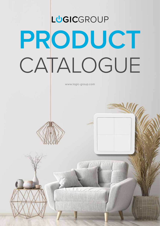## **PRODUCT** CATALOGUE **L GIC**GROUP

www.logic-group.com



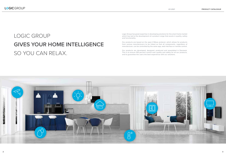### LOGIC GROUP **GIVES YOUR HOME INTELLIGENCE** SO YOU CAN RELAX.

Logic Group has great expertise in developing solutions for the smart home market which has led to the development of a product range that excels in quality, safety and functionality.

Our products are based on the open Z-Wave protocol, which allows for products from various manufacturers to be linked so that all components, regardless of manufacturer, can be controlled by the same app, web interface or remote control.

Our products are developed, designed, produced and assembled in Denmark. This is to ensure 100 percent control over quality and safety for all our products, and to guarantee the users the best experience with our solutions.

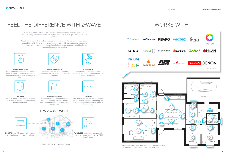### FEEL THE DIFFERENCE WITH Z-WAVE



**EASY CONNECTION** User-friendly connection of Z-Wave devices. Does not require re-wiring of the electrical installations in your home.

Z-Wave is an open protocol with a wireless communication technology that uses reliable, low-performance radio waves that easily travel through walls, floors and furniture.

Your Z-Wave network is getting stronger the more products you have in your smart home. Since all Z-Wave products can communicate with each other, no matter the manufacturer, you can get at complete solution with our products combined with products from other companies.



**AFFORDABLE PRICE** You can get started with a minimal investment and easily add more smart products.



**RELIABLE** After 10 years in the market, Z-wave has proven to be the best solution for home automation.



**OPTIONS** With more than 2400 Z-Wave products on the market, there is something for everyone, regardless of style, price or functionality.



**SAFETY APPROVED** Z-Wave uses the same encryption as online banking systems and is therefore the safest choice for your smart home.



**EXPERIENCE** More than 100 millions Z-Waveproducts are already installed in smart homes worldwide.

HOW Z-WAVE WORKS



**CONTROL** via PC, smart wall switches, smart phones or voice activation.





**WIRELESS** connection between all your smart home products. **No WI-FI interference**.

READ MORE AT WWW.Z-WAVE.COM



Example of setup in a house with four bedrooms, two bathrooms, kitchen-dining area and living room.

### WORKS WITH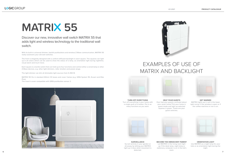







**TURN OFF EVERYTHING** Turn off everything in your home with a single push of a button. Put in as many functions as you want.

**HELP YOUR GUESTS** Ever had your guests confused about your smart home? Put your home in guest mode and light up selected squares in green. These are your guest switches.



### **GET WARNED**

MATRIX lights up in red in the lower right corner if the window is open or if the coffee machine or iron is on.

**SURVEILLANCE** Surveil activity in your garden or driveway by letting your MATRIX light up in blue when movement is detected.



### **BECOME THE OMNISCIENT PARENT**

Let MATRIX in the living room light up if the desk lamp, night lamp or stationary computer is on in the kid's room.



### **ORIENTATION LIGHT** Use MATRIX as a night lamp for your kids or as orientation light during the night.

## **MATRIX 55**

Discover our new, innovative wall switch MATRIX 55 that adds light and wireless technology to the traditional wall switch.

With its built-in universal dimmer, backlit pushbuttons and wireless Z-Wave communication, MATRIX 55 really outsmarts your old wall switches.

The front is elegantly designed with a uniform diffused backlight in each square. The squares can light up in all colors which can be used to show the status of a lamp, as orientation light during nighttime, visual alarm and much more.

Each square is a tactile switch that can hold up to four functions and control either a wired lamp or other Z-Wave devices, e.g. other light dimmers, roller shutters and power plugs.

The light dimmer can dim all dimmable light sources from 0-250 W.

MATRIX 55 fits in standard 60mm CE boxes and cover frames (e.g. GIRA System 55, Exxact and Elko Plus).

The insert is even compatible with GIRA pushbutton sensor 2.

## EXAMPLES OF USE OF MATRIX AND BACKLIGHT

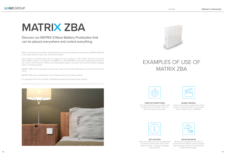



**TURN OFF EVERYTHING** Turn off everything in your home with a single push of a button. Put in as many functions as you want.

### **SCENE CONTROL**

Create mood scenes and put the entire house in cleaning mode or cozy mode with a single click on a MATRIX.



### **VACATION MODE**

When you are going on vacation or just out for an evening, start a program that simulates activity in the home and outsmart the burglar.



**GET NOTIFIED** Teach the kids to click on a pushbutton a number of times when they arrive safely at home - and get a message when they do.

## **MATRIX ZBA**

### Discover our MATRIX Z-Wave Batttery Pushbutton that can be placed everywhere and control everything.

With its low power consumption, timeless design and wireless Z-Wave communication, MATRIX ZBA7140 is the Logic choice for your new smart home remote.

Each square is a tactile switch that can hold up to four functions, or 16 in total. Use them to control other Z-Wave devices, for instance our DIMMY or a wired MATRIX. Control your lightning precisely as you want it, control scenes, Z-Wave connected power plugs or actuators such as blind shutters, garage doors or heating systems.

MATRIX ZBA can be mounted just where you need it with double sided tape on the back of the cover frame.

MATRIX ZBA uses a replaceable coin cell battery with up to 5 years lifetime.

It is designed to fit into all FUGA® compatible wall boxes and cover frame systems.



### EXAMPLES OF USE OF MATRIX ZBA

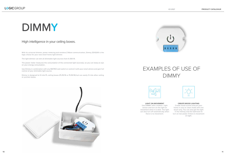**LIGHT ON MOVEMENT** Use DIMMY with a motion / light sensor and turn on the light on movement when it is dark. The light can also turn off automatically when there is no movement.

### **CREATE MOOD LIGHTING**

Create mood scenes and put your home in cozy or clean mode with one touch only. You can also get the light in the hallway and the bathroom to turn on low power if there is movement at night.

## DIMM**Y**

### High intelligence in your ceiling boxes.

With its universal dimmer, power metering and wireless Z-Wave communication, Dimmy ZDI5200 is the logic choice for your new smart home light dimmer.

The light dimmer can dim all dimmable light sources from 0-250 W.

The power meter measures the consumption of the connected light source(s), so you can keep an eye on your energy consumption.

Use Dimmy in combination with any MATRIX wall switch or control it with your smart phone and gain full control of your dimmable light source.

Dimmy is designed to fit into PL ceiling boxes (PL35/16 or PL55/16) but can easily fit into other ceiling or junction boxes.







### EXAMPLES OF USE OF DIMMY

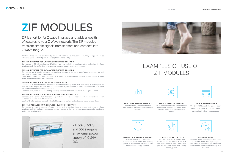



### **CONTROL SOCKET OUTLETS**



Use ZIF5020-5030 to control your socket outlets via an app or MATRIX and turn off the TV and X-box when you are not using them, thus saving standby power.



**READ CONSUMPTION REMOTELY**

Read the energy consumption of your electric, gas or water meter with ZIF5029.

**SEE MOVEMENT IN THE HOME** Use the ZIF5028 with a simple motion sensor that can now tell you if there are intruders when you are not at home.







### **VACATION MODE**

With one touch you can put your home in vacation mode, turning off lights and sockets, and starting a simulation program that keeps burglars away with ZIF5028.

### **CONTROL A GARAGE DOOR**

Use ZIF5029 to control a garage door via an app or MATRIX, or let it open automatically when you approach.



All ZIF modules can be clicked directly into the DIN rail in the distribution board. They occupy 6 modules (ZIF5020, 5028 and 5029) or 9 modules (ZIF5030 and 5031).

### **ZIF5020: INTERFACE FOR UNDERFLOOR HEATING (10-24V DC)**

Connect up to 10 valve actuators (24V) in a hydronic underfloor heating system and adjust the floor heating over Z-Wave. Furthermore, you can connect up to 4 sensors or contacts.

### **ZIF5028: INTERFACE FOR AUTOMATION SYSTEMS (10-24V DC)**

ZIF 5020, 5028 and 5029 require an external power supply of 10-24V DC.



Connect up to 6 regular sensors, e.g. motions sensors or contacts (door/window contacts or wall switches) to control your Z-Wave devices.

The 6 relay outputs can control non-Z-Wave actuators or relay modules, thereby getting control of other home automation systems with Z-Wave.

### **ZIF5029: INTERFACE FOR UTILITY METERS (10-24V DC)**

Connect up to 6 utility meters, where the consumption of e.g. water, gas, electricity or heating can be read via an S0 output. You can also connect secondary meters such as chargers for electric cars, solar cell production or swimmingpool heating.

Use the 6 relay outputs for controlling lighting, power outlets and actuators, e.g. a garage door.

### **ZIF5030: INTERFACE FOR AUTOMATIONS SYSTEMS (100-230V AC)**

Connect up to 4 simple digital sensors, e.g. motions sensors or contacts (door/window contacts or wall switches) to control your Z-Wave devices.

Use the 10 relay outputs for controlling lighting, power outlets and actuators, e.g. a garage door.

### **ZIF5031: INTERFACE FOR UNDERFLOOR HEATING (100-230V AC)**

Connect up to 10 valve actuators (230V) in a hydronic underfloor heating system and adjust the floor heating over Z-Wave. Furthermore, you can connect up to 4 simple temperature sensors for use in the underfloor heating system.



## **ZIF** MODULES

ZIF is short for for Z-wave Interface and adds a wealth of features to your Z-Wave network. The ZIF modules translate simple signals from sensors and contacts into Z-Wave tongue.

### EXAMPLES OF USE OF ZIF MODULES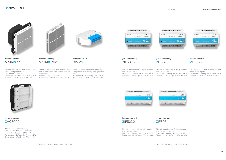



and 4 digital inputs.

DIN-rail module with 10 relay outputs DIN-rail module with 10 digital outputs Power con.: Standby 0.5 W / Max. 5.5 W Power con.: Standby 0.5 W / Max. 5.5 W Dimensions (HxWxD) mm: 85 x 160 x 60 Dimensions (HxWxD) mm: 85 x 160 x 60 and 4 analogue inputs.

**[5714090000127] [5714090000141] Z**IF5030 **Z**IF5031

DIN-rail module with 6 relay outputs and 6 pulse inputs.

Power con.: Standby 0.5 W / Max. 3.5 W Dimensions (HxWxD) mm: 85 x 105 x 60

DIN-rail module with 10 digital outputs DIN-rail module with 6 relay outputs and 4 digital inputs. Power con.: Standby 0.5 W / Max. 3.5 W Power con.: Standby 0.5 W / Max. 3.5 W

 $C2$  $-1111111$ LOGIC ZIP MODULE  $C \in \mathbb{R}$  $\begin{minipage}{.4\linewidth} \hspace*{1.5cm} \begin{minipage}{.4\linewidth} \hspace*{1.5cm} \textbf{matrix} \end{minipage} \begin{minipage}{.4\linewidth} \hspace*{1.5cm} \textbf{matrix} \end{minipage} \begin{minipage}{.4\linewidth} \hspace*{1.5cm} \textbf{matrix} \end{minipage} \begin{minipage}{.4\linewidth} \hspace*{1.5cm} \textbf{matrix} \end{minipage} \begin{minipage}{.4\linewidth} \hspace*{1.5cm} \textbf{matrix} \end{minipage} \begin{minipage}{.4\linewidth} \hspace*{1.5cm} \$ 



and 6 digital inputs.

Dimensions (HxWxD) mm: 85 x 105 x 60 Dimensions (HxWxD) mm: 85 x 105 x 60

### **[5714090000080] [5714090000097] [5714090000110] Z**IF5020 **Z**IF5028 **Z**IF5029

**B STATUS** 

Z-Wave dimmer with power metering. Compatible with ceiling and junction boxes.

Power con.: 0.5W standby / max. 0.6 W. Dimensions (HxWxD) mm: 15 x 54 x 46

**COUNTY IS IN THE PERIOD** LUGIC<br>GROUP 0.5WV ZIF MODULE CERRE MUNICIPALITY COO





Z-Wave Wall switch with dimmer and four backlit pushbuttons. CE wall box compatible. Power con.: 0.5W standby / max. 0.8 W. Dimensions (HxWxD) mm: 70 x 70 x 39



Z-Wave wall switch with battery and four pushbuttons with diode. FUGA® compatible. Battery life: up to 5 years

**[5714090000196] [5714090000158] [5714090000240]** MATRI**X** 55 DIMM**Y** MATRI**X** ZBA

Dimensions (HxWxD) mm: 44 x 46 x 10





Z-Wave wall switch with relay. Compatible with GIRA Pushbutton sensor 2 module, type 2003 100. Power con.: 0.2W standby / max. 0.6 W Dimensions (HxWxD) mm: 70 x 70 x 27